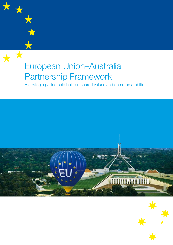# European Union–Australia Partnership Framework

大文

A strategic partnership built on shared values and common ambition





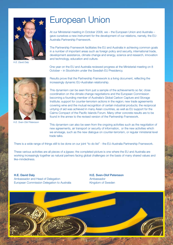

*H.E. David Daly*

## European Union

At our Ministerial meeting in October 2008, we – the European Union and Australia – gave ourselves a new instrument for the development of our relations, namely, the EU-Australia Partnership Framework.

The Partnership Framework facilitates the EU and Australia in achieving common goals in a number of important areas such as foreign policy and security, international trade, development assistance, climate change and energy, science and research, innovation and technology, education and culture.

One year on the EU and Australia reviewed progress at the Ministerial meeting on 8 October – in Stockholm under the Swedish EU Presidency.



*H.E. Sven-Olof Petersson*

Results prove that the Partnership Framework is a living document, reflecting the increasingly dynamic EU-Australian relationship.

This dynamism can be seen from just a sample of the achievements so far; close coordination on the climate change negotiations and the European Commission becoming a founding member of Australia's Global Carbon Capture and Storage Institute; support for counter-terrorism actions in the region; new trade agreements covering wine and the mutual recognition of certain industrial products; the reciprocal untying of aid was achieved in many Asian countries, as well as EU support for the Cairns Compact of the Pacific Islands Forum. Many other concrete results are to be found in the annex to the revised version of the Partnership Framework.

This dynamism can also be seen from the ongoing activities such as the negotiation of new agreements, air transport or security of information, or the new activities which we envisage, such as the new dialogue on counter-terrorism, or regular ministerial level trade talks.

There is a wide range of things still to be done on our joint "to do list" - the EU-Australia Partnership Framework.

These various activities are all pieces of a jigsaw; the completed picture is one where the EU and Australia are working increasingly together as natural partners facing global challenges on the basis of many shared values and like-mindedness.

### H.E. David Daly H.E. Sven-Olof Petersson Ambassador and Head of Delegation **Ambassador** Ambassador European Commission Delegation to Australia Kingdom of Sweden

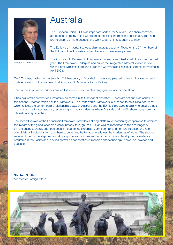

*Minister Stephen Smith*

## Australia

The European Union (EU) is an important partner for Australia. We share common approaches to many of the world's most pressing international challenges, from nonproliferation to climate change, and work together in responding to them.

The EU is very important to Australia's future prosperity. Together, the 27 members of the EU constitute Australia's largest trade and investment partner.

The Australia-EU Partnership Framework has revitalised Australia-EU ties over the past year. The Framework underpins and drives the invigorated bilateral relationship to which Prime Minister Rudd and European Commission President Barroso committed in April 2008.

On 8 October, hosted by the Swedish EU Presidency in Stockholm, I was very pleased to launch this revised and updated version of the Framework at Australia-EU Ministerial Consultations.

The Partnership Framework has proved to be a focus for practical engagement and cooperation.

It has delivered a number of substantive outcomes in its first year of operation. These are set out in an annex to this second, updated version of the Framework. The Partnership Framework is intended to be a living document which reflects the contemporary relationship between Australia and the EU. It is reviewed regularly to ensure that it charts a course for cooperation, responding to global challenges where Australia and the EU share many common interests and approaches.

The second version of the Partnership Framework provides a strong platform for continuing cooperation to address the impact of the global economic crisis, notably through the G20, as well as responses to the challenges of climate change, energy and food security; countering extremism, arms control and non-proliferation; and reform of multilateral institutions to make them stronger and better able to address the challenges of today. The second version of the Partnership Framework also provides for increased coordination of our development assistance programs in the Pacific and in Africa as well as cooperation in research and technology, innovation, science and education.

Stephen Smith Minister for Foreign Affairs



2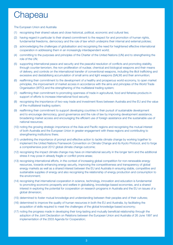## **Chapeau**

The European Union and Australia

- (1) recognising their shared values and close historical, political, economic and cultural ties;
- (2) having regard in particular to their shared commitment to the respect for and promotion of human rights, fundamental freedoms, democracy and the rule of law which underpins their internal and external policies;
- (3) acknowledging the challenges of globalisation and recognising the need for heightened effective international cooperation in addressing them in an increasingly interdependent world;
- (4) committing to the purposes and principles of the Charter of the United Nations (UN) and to strengthening the role of the UN;
- (5) supporting international peace and security and the peaceful resolution of conflicts and promoting stability, through counter-terrorism, the non-proliferation of nuclear, chemical and biological weapons and their means of delivery, and controls on the international transfer of conventional weapons, including the illicit trafficking and excessive and destabilising accumulation of small arms and light weapons (SALW) and their ammunition;
- (6) reaffirming their commitment to the development of a healthy and prosperous world economy, to open market principles, the improvement of market access in accordance with the aims and principles of the World Trade Organisation (WTO) and the strengthening of the multilateral trading system;
- (7) reaffirming their commitment to promoting openness of trade in agricultural, food and fisheries products in support of efforts to increase international food security;
- (8) recognising the importance of two-way trade and investment flows between Australia and the EU and the value of the multilateral trading system;
- (9) reaffirming their commitment to support developing countries in their pursuit of sustainable development and to encourage democracy, good governance and the rule of law by improving development assistance, broadening market access and encouraging the efficient use of foreign assistance and the sustainable use of national resources;
- (10) noting the growing strategic importance of the Asia and Pacific regions and recognising the mutual interest of both Australia and the European Union in greater engagement with these regions and contributing to strengthening institutions there;
- (11) underlining the importance of prompt and effective action to tackle climate change by working together to implement the United Nations Framework Convention on Climate Change and its Kyoto Protocol, and to forge a comprehensive post 2012 global climate change outcome;
- (12) recognising the impact climate change may have on international security in the longer term and the additional stress it may pose in already fragile or conflict prone areas;
- (13) recognising international efforts, in the context of increasing global competition for non-renewable energy resources, towards enhancing energy security, improving the competitiveness and transparency of global energy markets as well as a shared interest between the EU and Australia in ensuring stable, competitive and sustainable supplies of energy and also recognising the relationship of energy production and consumption to the environment;
- (14) recognising that international cooperation in science, technology, innovation and education is fundamental to promoting economic prosperity and welfare in globalising, knowledge-based economies, and a shared interest in exploring the potential for cooperation on research programs in Australia and the EU on issues of a global dimension;
- (15) determined to foster mutual knowledge and understanding between their peoples and of their cultures;
- (16) determined to improve the quality of human resources in both the EU and Australia, by facilitating the acquisition of skills required to meet the challenges of the global knowledge-based economy;
- (17) noting the progress made in developing their long-lasting and mutually beneficial relationship through the adoption of the Joint Declaration on Relations between the European Union and Australia of 26 June 1997 and implementation of the 2003 Agenda for Cooperation;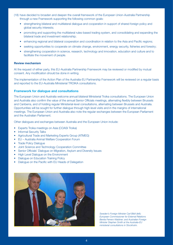- (18) have decided to broaden and deepen the overall framework of the European Union-Australia Partnership through a new Framework supporting the following common goals:
	- strengthening bilateral and multilateral dialogue and cooperation in support of shared foreign policy and global security interests;
	- promoting and supporting the multilateral rules-based trading system, and consolidating and expanding the bilateral trade and investment relationship;
	- enhancing regional and bilateral cooperation and coordination in relation to the Asia and Pacific regions;
	- seeking opportunities to cooperate on climate change, environment, energy security, fisheries and forestry;
	- strengthening cooperation in science, research, technology and innovation, education and culture and to facilitate the movement of people.

### Review mechanism

At the request of either party, this EU-Australia Partnership Framework may be reviewed or modified by mutual consent. Any modification should be done in writing.

The implementation of the Action Plan of the Australia-EU Partnership Framework will be reviewed on a regular basis and reported to the EU-Australia Ministerial TROIKA consultations.

### Framework for dialogue and consultations

The European Union and Australia welcome annual bilateral Ministerial Troika consultations. The European Union and Australia also confirm the value of the annual Senior Officials meetings, alternating flexibly between Brussels and Canberra, and of holding regular Ministerial-level consultations, alternating between Brussels and Australia. Opportunities will be sought for further dialogue through high-level visits and in the margins of international meetings. The European Union and Australia also note the regular exchanges between the European Parliament and the Australian Parliament.

Other dialogues and exchanges between Australia and the European Union include:

- **Experts Troika meetings on Asia (COASI Troika)**
- **Informal Security Talks**
- Agricultural Trade and Marketing Experts Group (ATMEG)
- EU Australia Animal Welfare Cooperation Forum
- Trade Policy Dialogue
- Joint Science and Technology Cooperation Committee
- Senior Officials' Dialogue on Migration, Asylum and Diversity Issues
- High Level Dialogue on the Environment
- **Dialogue on Education Training Policy**
- Dialogue on the Pacific with EU Heads of Delegation



*Sweden's Foreign Minister Carl Bildt (left); European Commissioner for External Relations Benita Ferrero-Waldner; and Australian Foreign Minister Stephen Smith at the Australia-EU ministerial consultations in Stockholm.*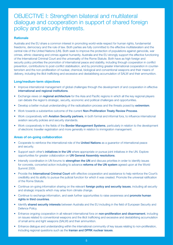### OBJECTIVE I: Strengthen bilateral and multilateral dialogue and cooperation in support of shared foreign policy and security interests.

### **Rationale**

Australia and the EU share a common interest in promoting world-wide respect for human rights, fundamental freedoms, democracy and the rule of law. Both parties are fully committed to the effective multilateralism and the central role of the United Nations (UN). Both seek to improve the protection of populations against genocide, war crimes, ethnic cleansing and crimes against humanity. Australia and the EU strongly support the effective functioning of the International Criminal Court and the universality of the Rome Statute. Both have as high foreign and security policy priorities the promotion of international peace and stability, including through cooperation in conflict prevention, contributions to post-conflict stabilisation, and by promoting greater international cooperation in counterterrorism and the non-proliferation of nuclear, chemical, biological and conventional weapons and their means of delivery, including the illicit trafficking and excessive and destabilising accumulation of SALW and their ammunition.

### Long/medium-term objectives

- Improve international management of global challenges through the development of and cooperation in effective international and regional institutions.
- Exchange views on regional architecture for the Asia and Pacific regions in which all the key regional players can debate the region's strategic, security, economic and political challenges and opportunities.
- Develop a better mutual understanding of the radicalisation process and the threats posed by extremism.
- Work towards a substantive outcome of the current Non-Proliferation Treaty Review Process.
- Work cooperatively with **Aviation Security partners**, in both formal and informal fora, to influence international aviation security policies and security standards.
- Work cooperatively in the fields of the **Border Management Systems**, particularly in relation to the development of electronic traveller registration and more generally in relation to immigration management.

- Cooperate to reinforce the international role of the **United Nations** as a quarantor of international peace and security.
- Support each other's *initiatives in the UN* where appropriate or pursue joint initiatives in the UN. Explore opportunities for greater collaboration on UN General Assembly resolutions.
- Intensify coordination in UN forums to **strengthen the UN** and discuss priorities in order to identify issues for concrete, concerted action including to advance reforms of the UN system agreed upon at the World Summit 2005.
- Provide the International Criminal Court with effective cooperation and assistance to help reinforce the Court's credibility and its ability to pursue the judicial function for which it was created. Promote the universal ratification of the Rome Statute.
- Continue on-going information sharing on the relevant foreign policy and security issues, including all security and strategic impacts which may arise from climate change.
- Continue to exchange information, and seek further opportunities to raise awareness and **promote human** rights in third countries.
- Identify shared security interests between Australia and the EU including in the field of European Security and Defence Policy.
- Enhance ongoing cooperation in all relevant international fora on non-proliferation and disarmament, including on issues related to conventional weapons and the illicit trafficking and excessive and destabilising accumulation of small arms and light weapons (SALW) and their ammunition.
- Enhance dialogue and understanding within the international community of key issues relating to non-proliferation, including regional questions such as the Iranian and DPRK nuclear issues.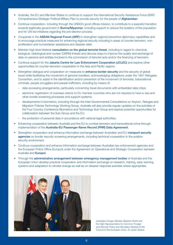- Australia, the EU and Member States to continue to support the International Security Assistance Force (ISAF) Comprehensive Strategic Political Military Plan to provide security for the people of Afghanistan.
- Continue cooperation, including through the UNSG's good offices mission, to contribute to a peaceful transition towards legitimate government in **Burma/Myanmar**, including support to reduce the isolation of the population and for UN-led initiatives regarding the pre-election process.
- Cooperate in the ASEAN Regional Forum (ARF) to strengthen regional preventive diplomacy capabilities and to encourage practical measures for enhancing regional security including in areas of counter-terrorism, nonproliferation and humanitarian assistance and disaster relief.
- Maintain high level bilateral consultation on the global terrorist threat, including in regard to chemical, biological, radiological and nuclear (CBRN) threats and discuss ways to improve the quality and exchange of data on persons and entities involved in the commission of terrorist acts and/or the financing of terrorism.
- Continue support for the Jakarta Centre for Law Enforcement Cooperation (JCLEC) and explore other opportunities for counter-terrorism cooperation in the Asia and Pacific regions.
- Strengthen dialogue and cooperation on measures to **enhance border security** and the security of global travel while facilitating the movement of genuine travellers, acknowledging obligations under the 1951 Refugees Convention, and to assist in the identification and/or prevention of the movement of terrorists, transnational criminals, people smugglers and people traffickers, including by means of:
	- data accessing arrangements, particularly concerning travel documents with embedded data chips;
	- electronic registration of overseas visitors to EU member countries who are not required to have a visa and other border screening processes and support systems;
	- developments in biometrics, including through the Inter-Governmental Consultations on Asylum, Refugee and Migration Policies Technology Working Group. Australia will also provide regular updates on the activities of the Four Country Conference Biometrics and Technology Sub-Group and explore potential opportunities for collaboration between the Sub-Group and the EU;
	- the protection of personal data in accordance with national legal authorities.
- Enhancing cooperation between Australia and the EU to combat terrorism and transnational crime through implementation of the Australia-EU Passenger Name Record (PNR) Data Agreement.
- Strengthen cooperation and enhance information exchange between Australian and EU transport security agencies on border security screening arrangements, including technical cooperation in the aviation security environment.
- Continue cooperation and enhance information exchange between Australian law enforcement agencies and the European Police Office (Europol) under the Agreement on Operational and Strategic Cooperation between Australia and Europol.
- Through the **administrative arrangement between emergency management bodies** of Australia and the European Union develop practical cooperation and information exchange on research, training, early warning systems and adaptation to climate change as well as on disaster response activities where appropriate.



*Australian Foreign Minister Stephen Smith and the High Representative for Common Foreign and Security Policy and Secretary-General of the Council of the European Union, Dr Javier Solana.*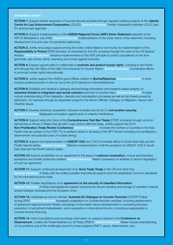ACTION 1: Support further expansion of counter-terrorist activities through capacity building projects at the Jakarta Centre for Law Enforcement Cooperation (JCLEC). *Desired Outcome:* Further cooperation between JCLEC and EU enforcement agencies

ACTION 2: Support implementation of the ASEAN Regional Forum (ARF) Vision Statement adopted at the ARF16 Ministerial in July 2009. *Desired Outcome:* Implementation of the action items of the statement, including development of a work plan for preventive diplomacy.

ACTION 3: Jointly encourage support among the wider United Nations community for implementation of the Responsibility to Protect (R2P) principle, as endorsed by the UN, including through the work of the UN Special Advisor. *Desired Outcome:* Advance implementation of the R2P principle to protect populations at risk from genocide, war crimes, ethnic cleansing and crimes against humanity.

ACTION 4: Explore opportunities to collaborate to promote and protect human rights, including in the Pacific and through the UN Office of the High Commissioner for Human Rights. *Desired Outcome:* Coordinated efforts to promote human rights internationally.

ACTION 5: Jointly support the UNSG's good offices mission in Burma/Myanmar. *Desired Outcome:* A more inclusive political process in the run-up to the 2010 elections in Burma/Myanmar.

ACTION 6: Establish and develop a dialogue and exchange information and research based analysis on extremist threats to integration and social cohesion and how to counter them. *Desired Outcome:* A better mutual understanding of the integration, diversity and radicalisation processes as well as the threats posed by extremism, for example through an expanded scope for the Senior Officials' Dialogue on Migration, Asylum and Diversity Issues.

ACTION 7: Develop technical cooperation between Australia and the EU in civil aviation security. *Desired Outcome:* Safeguard civil aviation against acts of unlawful interference.

ACTION 8: Support entry into force of the Comprehensive Test Ban Treaty (CTBT) including through common demarches to Annex 2 States that are still to sign and/or ratify the treaty. Jointly support the 2010 Non-Proliferation Treaty Review Conference. *Desired Outcome:* Increase the number of countries in the Asia Pacific that are parties to the CTBT. Try to achieve results in all areas of the NPT Review including non-proliferation, disarmament and peaceful uses of nuclear energy.

ACTION 9: Support full implementation of UNSCR 1540 and 1540 Committee efforts in South East Asia and the Pacific Islands states. *Desired Outcome:* Effective implementation of all the provisions of UNSCR 1540 in South East Asia and the Pacific Islands states.

ACTION 10: Explore possibilities for an agreement in the areas of customs cooperation, mutual administrative assistance and border protection matters. *Desired Outcome:* Reach consensus on whether to launch negotiation of such an agreement.

ACTION 11: Support continued development of an Arms Trade Treaty in the UN and other fora. *Desired Outcome:* A treaty with the widest possible international support and that establishes common standards for the international arms trade.

ACTION 12: Finalise negotiations of an agreement on the security of classified information. *Desired Outcome:* A treaty-level agreement signed, ensuring the secure handling and storage of classified material shared between Australia and the European Union.

ACTION 13: Undertake an ad hoc officials' Australia-EU Dialogue on Counter-Terrorism (COTER Troika) during 2009. *Desired Outcome:* Increased cooperation on counter-terrorism activities, including assessments of global and regional terrorist threats, exchange of information about developments in combating terrorism, prevention of recruitment/radicalisation, and cooperation in international forums, including as appropriate to combat terrorist financing.

ACTION 14: Hold consultations and exchange information on subjects related to the Conference on Disarmament, notably the Fissile Material Cut-off Treaty (FMCT). *Desired Outcome:* Better mutual understanding of our positions and of the challenges posed by these subjects (FMCT, space, disarmament, etc).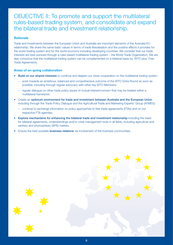OBJECTIVE II: To promote and support the multilateral rules-based trading system, and consolidate and expand the bilateral trade and investment relationship.

### Rationale

Trade and investments between the European Union and Australia are important elements of the Australia-EU relationship. We share the same basic values in terms of trade liberalisation and the positive effects it provides for the world trading system and for the world economy including developing countries. We consider that our trade interests are best pursued through a rules-based multilateral trading system – the World Trade Organization. We are also conscious that the multilateral trading system can be complemented on a bilateral basis by 'WTO plus' Free Trade Agreements.

- **Build on our shared interests** to continue and deepen our close cooperation on the multilateral trading system
	- work towards an ambitious, balanced and comprehensive outcome of the WTO Doha Round as soon as possible, including through regular advocacy with other key WTO Members;
	- regular dialogue on other trade policy issues of mutual interest/concern that may be treated within a multilateral framework.
- Create an optimum environment for trade and investment between Australia and the European Union including through the Trade Policy Dialogue and the Agricultural Trade and Marketing Experts' Group (ATMEG)
	- continue to exchange information on policy approaches to free trade agreements (FTAs) and on our respective FTA agendas.
- Explore mechanisms for enhancing the bilateral trade and investment relationship including the need for bilateral agreements, understandings and/or crisis management tools in all fields, including agriculture and sanitary and phytosanitary (SPS) matters.
- Ensure the best possible **business relations** via involvement of the business communities.

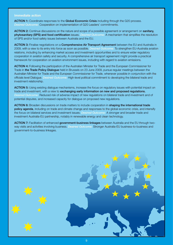ACTION 1: Coordinate responses to the Global Economic Crisis including through the G20 process. *Desired Outcome:* Cooperation on implementation of G20 Leaders' commitments.

ACTION 2: Continue discussions on the nature and scope of a possible agreement or arrangement on sanitary, phytosanitary (SPS) and food certification issues. *Desired Outcome:* A mechanism that simplifies the resolution of SPS and/or food safety issues between Australia and the EU.

ACTION 3: Finalise negotiations on a Comprehensive Air Transport Agreement between the EU and Australia in 2009, with a view to its entry into force as soon as possible. *Desired Outcome:* To strengthen EU-Australia aviation relations, including by enhancing market access and investment opportunities and to ensure wider regulatory cooperation in aviation safety and security. A comprehensive air transport agreement might provide a practical framework for cooperation on aviation environment issues, including with regard to aviation emissions.

ACTION 4: Following the participation of the Australian Minister for Trade and the European Commissioner for Trade in the Trade Policy Dialogue held in Brussels on 23 June 2009, pursue regular meetings between the Australian Minister for Trade and the European Commissioner for Trade, whenever possible in conjunction with the officials level Dialogue. *Desired Outcome:* High-level political commitment to developing the bilateral trade and investment relationship.

ACTION 5: Using existing dialogue mechanisms, increase the focus on regulatory issues with potential impact on trade and investment, with a view to **exchanging early information on new and proposed regulations.** *Desired Outcome:* Reduced risk of adverse impact of new regulations on bilateral trade and investment and of potential disputes, and increased capacity for dialogue on proposed new regulations.

ACTION 6: Broaden discussions on trade matters to include cooperation in shaping the international trade policy agenda, including on trade and climate change and responses to the global economic crisis, and intensify the focus on bilateral services and investment issues. *Desired Outcome:* A stronger and broader trade and investment Australia-EU partnership, notably in renewable energy and clean technology.

ACTION 7: Facilitation of enhanced government-business linkages between Australia and the EU through twoway visits and activities involving business. *Desired Outcome:* Stronger Australia-EU business-to-business and government-to-business linkages.

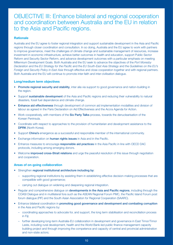### OBJECTIVE III: Enhance bilateral and regional cooperation and coordination between Australia and the EU in relation to the Asia and Pacific regions.

### **Rationale**

Australia and the EU agree to foster regional integration and support sustainable development in the Asia and Pacific regions through closer coordination and consultation. In so doing, Australia and the EU agree to work with partners to improve governance, meet the challenges of climate change and sustainable management of resources, increase investment in economic infrastructure, achieve better outcomes in health and education, support Public Sector Reform and Security Sector Reform, and advance development outcomes with a particular emphasis on meeting Millennium Development Goals. Both Australia and the EU seek to advance the objectives of the *Port Moresby Declaration* and the *EU Strategy for the Pacific* and the *EU South-East Asia Strategy* and the *Guidelines on the EU's Foreign and Security Policy in East Asia* through effective and close cooperation together and with regional partners. Both Australia and the EU will continue to promote inter-faith and inter-civilisation dialogue.

### Long/medium term objectives

- Promote regional security and stability, inter alia via support to good governance and nation-building in the region.
- Support sustainable development of the Asia and Pacific regions and reducing their vulnerability to natural disasters, fossil fuel dependence and climate change.
- Enhance aid effectiveness through development of common aid implementation modalities and division of labour as agreed in the Paris Declaration on Aid Effectiveness and the Accra Agenda for Action.
- Work cooperatively, with members of the Six Party Talks process, towards the denuclearisation of the Korean Peninsula.
- Coordinate with respect to approaches to the provision of humanitarian and development assistance to the **DPRK** (North Korea).
- Support China's emergence as a successful and responsible member of the international community.
- Exchange information on **human rights issues** in Asia and in the Pacific.
- Enhance measures to encourage responsible aid practices in the Asia Pacific in line with OECD DAC protocols, including among emerging donors.
- Welcome *improved cross-Strait relations* and urge the peaceful resolution of this issue through negotiation and cooperation.

- Strengthen regional institutional architecture including by:
	- supporting regional institutions by assisting them in establishing effective decision-making processes that are compatible with good governance;
	- carrying out dialogue on widening and deepening regional integration.
- Regular and comprehensive dialogue on developments in the Asia and Pacific regions, including through the COASI Dialogue and in multilateral fora such as the ASEAN Regional Forum PMC, the Pacific Island Forum post forum dialogue (PIF) and the South Asian Association for Regional Cooperation (SAARC).
- Enhance bilateral coordination in promoting good governance and development and combating corruption in the Asia and Pacific regions by:
	- coordinating approaches to advocate for, and support, the long term stabilisation and reconciliation process in Fiji;
	- further developing long-term Australia-EU collaboration in development and governance in East Timor/Timor Leste, including rural development, health and the World Bank-led public finance management capacity building project and through improving the competence and capacity of central and provincial administration and non-state actors;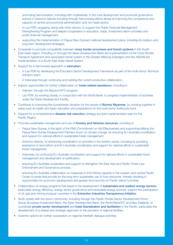- promoting harmonisation, including with multilaterals, in the rural development and provincial governance sectors in Solomon Islands including through harmonising efforts aimed at improving the competence and capacity of central and provincial administration and non-state actors;
- in Lao PDR, engaging, along with other donors, to support the Public Financial Management Strengthening Program and deepen cooperation in education, trade, investment reform activities and public financial management;
- supporting the implementation of Papua New Guinea's national development plans, including its medium and long-term development strategies.
- Cooperate to promote compatibility between cross border processes and transit systems in the South East Asian region, including on through the Asian Development Bank-led implementation of the Cross Border Transport Agreement and associated transit system in the Greater Mekong Subregion and the ASEAN-led implementation of a South East Asian transit system.
- Support for a harmonised approach to **education:** 
	- in Lao PDR by developing the Education Sector Development Framework as part of the multi-donor Technical Advisory team;
	- in Indonesia through continuing and building the current productive collaboration.
- Explore opportunities for further collaboration on **trade-related assistance**, including in:
	- Vietnam, through the Beyond WTO program;
	- Lao PDR, by working closely, in conjunction with the World Bank, to progress implementation of activities under the Trade Development Facility.
- Contribute to improving the humanitarian situation for the people of **Burma/ Myanmar**, by working together in areas such as health and basic education and preparations for the multi-donor livelihoods fund.
- Support for a comprehensive **disaster risk reduction** strategy and joint implementation plan for the Pacific Region.
- Promote sustainable management and use of forestry and fisheries resources, including in:
	- Papua New Guinea, in the spirit of the PNG Commitment on Aid Effectiveness and supporting/utilising the Papua New Guinea Development Partners forum on climate change, by ensuring EU-Australia coordination and support for national efforts in sustainable forest management;
	- Solomon Islands, by enhancing coordination on activities in the forestry sector, including by providing assistance to land reform and EU–Australia coordination and support for national efforts in sustainable forest management;
	- Indonesia, by continuing EU-Australia coordination and support for national efforts in sustainable forest management and development of certification;
	- ensuring EU-Australia cooperation and support to strengthen the East Asia and Pacific Forest Law Enforcement and Governance process;
	- ensuring EU-Australia collaboration on measures to limit fishing capacity in the western and central Pacific Ocean to levels that provide for the long-term sustainable use of tuna resources, thereby resulting in opportunities for economic development and greater food security for Pacific Island Countries.
- Collaboration on energy programs that assist in the development of sustainable and resilient energy sectors, particularly energy efficiency, energy sector governance and renewable energy sources; support the participation of oil, gas and mining producer countries in the Extractive Industries Transparency Initiative.
- Work closely with the donor community, including through the Pacific Private Sector Development Donor Group (European Investment Bank, the Asian Development Bank, the World Bank/IFC and New Zealand), to coordinate private sector development and trade liberalisation and facilitation in the Pacific, particularly the development of a shared and strategic approach to the provision of regional facilities.
- Examine options for further cooperation on regional interfaith dialogue activities.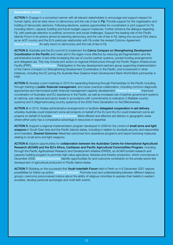ACTION 1: Engage in a concerted manner with all relevant stakeholders to encourage and support respect for human rights, and an early return to democracy and the rule of law in Fiji. Provide support for the organisation and holding of democratic elections. Following elections, explore opportunities for coordinated or joint support for Fiji including reform, capacity building and future budget support measures. Further enhance the dialogue regarding Fiji, with particular attention to political, economic and social challenges. Support the leading role of the Pacific Islands Forum in its actions aimed at restoring democracy and the rule of law in Fiji, taking into account Fiji's status as an ACP country and the EU's particular relationship with Fiji under the revised Cotonou Agreement. *Desired Outcome:* An early return to democracy and the rule of law in Fiji.

ACTION 2: Australia and the EU commit to implement the Cairns Compact on Strengthening Development Coordination in the Pacific and make aid to the region more effective by reducing aid fragmentation and the administrative burden of aid while increasing the use of country partner systems, pooled funding arrangements and delegated aid. This may include joint action on regional infrastructure through the Pacific Region Infrastructure Facility (PRIF). *Desired Outcome:* Participation in the key development partners group supporting implementation of the Cairns Compact on Strengthening Development Coordination in the Pacific; and involvement in other initiatives, including the EC joining the Australia-New Zealand-Asian Development Bank-World Bank partnership in PRIF.

ACTION 3: Develop a joint roadmap in 2010 for expanding financing through Partnerships to the Pacific including through training in **public financial management**, and closer practical collaboration, including common diagnostic approaches and harmonised public financial management capacity development. *Desired Outcome:* Improved coordination of Australian and EU assistance in the Pacific, as well as increased use of partner government systems at national, sub-national and sector levels in accordance with commitments to indicators 2 (Reliable country systems) and 5 (Alignment/using country systems) of the 2005 Paris Declaration on Aid Effectiveness.

ACTION 4: In 2010, finalise administrative arrangements to facilitate delegated cooperation in aid delivery whereby Australia could implement some aid projects on behalf of the EU and the EU could implement some aid projects on behalf of Australia. *Desired Outcome:* More efficient and effective aid delivery in geographic areas where either party has a comparative advantage in resources or expertise.

ACTION 5: Support a regional implementation program developed in 2009 for the control of small arms and light weapons in South East Asia and the Pacific Islands states, including in relation to stockpile security and responsible arms transfers. *Desired Outcome:* Maximise outcomes from assistance programs and export licensing measures relating to small arms and light weapons.

ACTION 6: Explore opportunities for collaboration between the Australian Centre for International Agricultural Research (ACIAR) and the EU's Africa, Caribbean and Pacific Agricultural Commodities Program, including through the Pacific Agribusiness Research and Development Initiative (PARDI), an ACIAR-funded research and capacity building program to promote high-value agriculture, fisheries and forestry production, which commences in December 2009. *Desired Outcome:* Identify opportunities for and overcome constraints on the private sector-led development of agricultural production in Pacific Island states.

ACTION 7: Building on the successful first Youth Interfaith Forum held in Perth on 4-6 December 2007 explore possibilities for follow-up action. *Desired Outcome:* Promote trust and understanding between different religious groups; overcome preconceived notions about the ability of religious minorities to express their beliefs in western societies; develop personal exchanges and multi-faith events.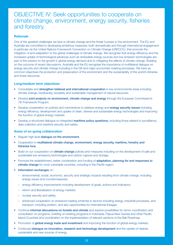### OBJECTIVE IV: Seek opportunities to cooperate on climate change, environment, energy security, fisheries and forestry.

### **Rationale**

One of the greatest challenges we face is climate change and the threat it poses to the environment. The EU and Australia are committed to developing ambitious measures, both domestically and through international engagement in particular via the United Nations Framework Convention on Climate Change (UNFCCC), that promote the mitigation of and adaptation to the global challenges of climate change. We recognise that energy efficiency and the increased uptake of technological advances such as renewable energy sources and low emission technologies are part of the solution to the growth in global energy demand and to mitigating the effects of climate change. Building on the outcome of recent discussions, Australia and the EU recognise the importance of multilateral dialogue on energy security and climate change including in the G8 and major economies meeting processes. We have as common objectives the protection and preservation of the environment and the sustainability of the world's fisheries and forest resources.

### Long/medium term objectives

- Consolidate and strengthen bilateral and international cooperation in key environmental areas including climate change, biodiversity, biosafety and sustainable management of natural resources.
- Develop joint projects on environment, climate change and energy through the European Commission's 7th Framework Program.
- Develop cooperation on policies and mechanisms to address energy and energy security issues including energy efficiency, development and uptake of clean, diverse and sustainable energy technologies and improving the function of global energy markets.
- Develop a structured dialogue on integrated maritime policy questions, including those related to surveillance, data collection and maritime security and safety.

- Regular high level dialogue on the environment.
- Cooperation in multilateral climate change, environment, energy security, maritime, forestry and fisheries fora.
- Build on our cooperation on **climate change** policies and measures including on the development of safe and sustainable low emissions technologies and carbon capture and storage.
- Promote the establishment, better coordination and funding of **adaptation, planning for and responses to** climate change for most vulnerable countries, including in the Pacific region.
- Information exchanges on:
	- environmental, social, economic, security and strategic impacts resulting from climate change, including energy issues and countermeasures;
	- energy efficiency improvements including development of goals, actions and indicators;
	- reform and liberalisation of energy markets;
	- nuclear security and safety;
	- enhanced cooperation on emissions trading schemes in sectors including energy, industrial processes, and transport, including aviation, and also opportunities for international linkages.
- Continue informal discussions on forests and climate and explore possibilities for donor coordination and consultation on programs, building on existing programs in Indonesia, Papua New Guinea and other Pacific Island Countries and coordination on the implementation of relevant sections of the Bali Roadmap.
- Promotion of global energy trade and investment and improving the function of global energy markets.
- Continued dialogue on innovation, research and technology development and the uptake of cleaner, sustainable and new sources of energy.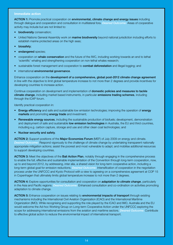ACTION 1: Promote practical cooperation on environmental, climate change and energy issues including through dialogue and cooperation and consultation in multilateral fora. *Desired Outcome:* Areas of cooperative activity may include but are not limited to:

- biodiversity conservation;
- United Nations General Assembly work on **marine biodiversity** beyond national jurisdiction including efforts to establish marine protected areas on the high seas;
- biosafety;
- endangered species;
- cooperation on whale conservation and the future of the IWC, including working towards an end to lethal 'scientific' whaling and strengthening cooperation on non-lethal whales research;
- sustainable forest management and cooperation to **combat deforestation** and illegal logging; and
- international environmental governance.

Enhance cooperation on the development of a comprehensive, global post-2012 climate change agreement in line with the objective to limit global temperature increase to not more than 2 degrees and provide incentives for developing countries to increase action.

Continue cooperation on development and implementation of domestic policies and measures to tackle climate change, including market based instruments, in particular emissions trading schemes, including through the ICAP forum.

Identify practical cooperation in:

- Energy efficiency and safe and sustainable low emission technologies; improving the operation of energy markets and promoting energy trade and investment;
- Renewable energy sources, including the sustainable production of biofuels; development, demonstration and deployment of safe and sustainable low emission technologies in Australia, the EU and third countries, including e.g. carbon capture, storage and use and other clean coal technologies; and
- • Nuclear security and safety.

ACTION 2: Support positions of the Major Economies Forum (MEF) of July 2009 on energy and climate. *Desired Outcome:* Respond vigorously to the challenge of climate change by undertaking transparent nationally appropriate mitigation actions; assist the poorest and most vulnerable to adapt; and mobilise additional resources to support developing countries.

ACTION 3: Meet the objectives of the Bali Action Plan, notably through engaging in the comprehensive process to enable the full, effective and sustainable implementation of the Convention through long-term cooperation, now, up to and beyond 2012, by addressing, inter alia, a shared vision for long-term cooperative action, including a long-term global goal for emission reductions. *Desired Outcome:* Intensification of cooperation in the negotiation process under the UNFCCC and Kyoto Protocol with a view to agreeing on a comprehensive agreement at COP 15 in Copenhagen that ultimately limits global temperature increase to not more than 2 degrees.

ACTION 4: Explore opportunities for consultation and cooperation on *adaptation to climate change*, particularly in the Asia and Pacific regions. *Desired Outcome:* Enhanced consultation and co-ordination on activities promoting adaptation to climate change.

ACTION 5: Enhance cooperation on issues relating to environmental impacts of transport through existing mechanisms including the International Civil Aviation Organization (ICAO) and the International Maritime Organization (IMO). While recognising and supporting the role played by the ICAO and IMO, Australia and the EU would welcome the Ad-hoc Working Group on Long-term Cooperative Action under the UNFCCC exploring the scope for addressing international emissions from the aviation and maritime sectors. *Desired Outcome:* Contribute to effective global action to reduce the environmental impact of international transport.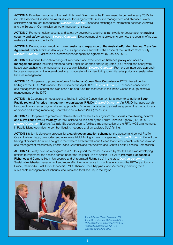ACTION 6: Broaden the scope of the next High Level Dialogue on the Environment, to be held in early 2010, to include a dedicated session on water issues, focusing on water resource management and allocation, water efficiency, and drought management. *Desired Outcome:* Enhanced exchange of information between Australia and the European Commission on water management issues.

ACTION 7: Promote nuclear security and safety by developing together a framework for cooperation on nuclear security and safety outreach. *Desired Outcome:* Development of joint projects to promote the security of nuclear materials in Asia and the Pacific.

ACTION 8: Develop a framework for the extension and expansion of the Australia-Euratom Nuclear Transfers Agreement, which expires in January 2012, as appropriate and within the scope of the Euratom Community. *Desired Outcome:* Ratification of a new nuclear cooperation agreement by January 2012.

ACTION 9: Continue biennial exchange of information and experience on fisheries policy and oceans management issues including efforts to deter illegal, unreported and unregulated (IUU) fishing and ecosystembased approaches to the management of oceanic fisheries. *Desired Outcome:* Promote an integrated approach to oceans management in international fora; cooperate with a view to improving fisheries policy and sustainable fisheries management.

ACTION 10: Cooperate to promote reform of the Indian Ocean Tuna Commission (IOTC), based on the findings of the IOTC Performance Review finalised in April 2009. *Desired Outcome:* Enhanced conservation and management of shared and high seas tuna and tuna-like resources in the Indian Ocean through effective management by the IOTC.

ACTION 11: Cooperate in negotiations to finalise in 2009 a Convention text for a treaty to establish a South Pacific regional fisheries management organisation (RFMO). *Desired Outcome:* An RFMO that uses world's best practice and an ecosystem-based approach to fisheries management, as well as applying the precautionary approach and strong monitoring, control and surveillance (MCS) measures.

ACTION 12: Cooperate to promote implementation of measures arising from the fisheries monitoring, control and surveillance (MCS) strategy for the Pacific to be finalised by the Forum Fisheries Agency (FFA) in 2010. *Desired Outcome:* Effective Australia-EU cooperation to facilitate implementation of the FFA's MCS arrangements in Pacific Island countries, to combat illegal, unreported and unregulated (IUU) fishing.

ACTION 13: Jointly develop a proposal for a catch documentation scheme for the western and central Pacific Ocean to deter illegal, unreported and unregulated (IUU) fishing for key tuna species. *Desired Outcome:* Prevent the trading of products from tuna caught in the western and central Pacific Ocean that do not comply with conservation and management measures by Pacific Island Countries and the Western and Central Pacific Fisheries Commission.

ACTION 14: Jointly develop a program in 2010 to support the measures taken by South East Asian developing nations to implement the actions agreed under the Regional Plan of Action (RPOA) to Promote Responsible Fisheries and Combat Illegal, Unreported and Unregulated Fishing (IUU) in the area. *Desired Outcome:* Sustainable fisheries management and more effective governance in countries endorsing the RPOA (particularly Brunei, Cambodia, East Timor, Indonesia, PNG, Thailand, the Philippines, and Vietnam), promoting more sustainable management of fisheries resources and food security in the region.



*Trade Minister Simon Crean and EU Trade Commissioner Catherine Ashton at the initialling of the reviewed Mutual Recognition Agreement (MRA) in Brussels on 23 June 2009*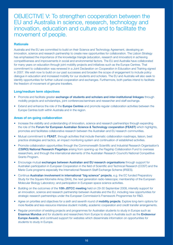### OBJECTIVE V: To strengthen cooperation between the EU and Australia in science, research, technology and innovation, education and culture and to facilitate the movement of people.

### **Rationale**

Australia and the EU are committed to build on their Science and Technology Agreement, developing an innovation, science and research partnership to create new opportunities for collaboration. The Lisbon Strategy has emphasised the importance of the knowledge triangle (education, research and innovation) in achieving competitiveness and improvements in social and environmental factors. The EU and Australia have collaborated for many years on education through joint mobility projects and initiatives such as the Europe Centres. That commitment to collaboration was renewed in a Joint Declaration on Cooperation in Education and Training signed in 2007. We wish now to build on our past successes and broaden the scope of engagement to include policy dialogue in education and increased mobility for our students and scholars. The EU and Australia will also seek to identify opportunities for further cultural cooperation and exchanges. Furthermore, both parties intend to facilitate the freedom of movement of genuine travellers.

### Long/medium term objectives

- Promote and facilitate greater exchange of students and scholars and inter-institutional linkages through mobility projects and scholarships, joint conferences/seminars and researcher and staff exchange.
- Extend and enhance the role of the Europe Centres and promote regular collaboration activities between the Europe Centres both within Australia and in the region.

- Increase the visibility and understanding of innovation, science and research partnerships through expanding the role of the Forum for European Australian Science & Technology cooperation (FEAST) which highlights, promotes and facilitates collaborative research between the Australian and EU research communities.
- Mutual commitment to FEAST, through activities that include thematic collaboration roadmaps, liaison, best practice strategies and tactics, an impact monitoring system and continuation of established activities.
- Promote collaboration opportunities through the Commonwealth Scientific and Industrial Research Organisation's (CSIRO) National Research Flagships arising from opening-up the Flagship Collaboration Fund to overseas researchers, and through the international elements of the Australian Research Council's National Competitive Grants Program.
- Encourage mutual exchanges between Australian and EU research organisations through support for Australian participation in European Cooperation in the field of Scientific and Technical Research (COST) and the Marie Curie programs especially the International Research Staff Exchange Scheme (IRSES).
- Continue Australian involvement in international "big science" projects, e.g. the EC funded Preparatory Study for the Square Kilometre Array (SKA), the next generation radio-telescope; membership of the European Molecular Biology Laboratory; and participation in European space science activities.
- Building on the outcomes of the 10th JSTCC meeting held on 29-30 September 2008, intensify support for an innovation, science and research partnership between Australia and the EU, including new opportunities for strategic research partnerships under the European Commission's Framework Programmes for R&D.
- Agree on priorities and objectives for a sixth and seventh round of mobility projects. Explore long-term options for more flexible and less-resource intensive student mobility, academic cooperation and credit transfer arrangements.
- Regular promotion of existing projects and programmes for Australian students to study in Europe such as Erasmus Mundus and for students and researchers from Europe to study in Australia such as the Endeavour Europe Awards, and continued support for websites which disseminate information on opportunities for students to study in Europe.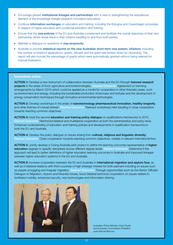- Encourage greater institutional linkages and partnerships with a view to strengthening the educational element of the knowledge triangle (research-innovation-education).
- Continue information exchanges on education and training, including the Bologna and Copenhagen processes in respect of higher education and vocational education and training.
- Ensure that the **visa policies** of the EU and Australia complement and facilitate the overall objectives of their new partnership where these result in their citizens travelling to and from both parties.
- Maintain a dialogue on questions of visa reciprocity.
- Australia to provide statistical reports on the new Australian short-term visa system, eVisitors, including the number of eVisitors applications, grants, refusals and the grant rate broken down by citizenship. The report will also include the percentage of grants which were automatically granted without being referred for manual finalisation.

ACTION 1: Develop a new instrument of collaboration between Australia and the EU through twinned research projects in the areas of food, agriculture and biotechnologies. *Desired Outcome:* Agreement on twinning arrangements by March 2010 which could be applied as a model for cooperation in other thematic areas, such as environment and energy, including the sustainable production of biomass and biofuels and the development of energy conservation techniques through innovative environmental technologies.

ACTION 2: Develop workshops in the areas of nanotechnology pharmaceutical innovation, healthy longevity and other themes of mutual interest. *Desired Outcome:* Relevant workshops held resulting in close cooperation towards reaching common objectives.

ACTION 3: Hold the second education and training policy dialogue on qualifications frameworks in 2010. *Desired Outcome:* Reinforced bilateral and multilateral cooperation at both the administrative and policy level. Enhanced understanding of education and training policies and developments in qualification frameworks in both the EU and Australia.

ACTION 4: Develop the policy dialogue on issues arising from cultural, religious and linguistic diversity. *Desired Outcome:* Close cooperation towards reaching common objectives, notably in relevant international fora.

ACTION 5: Jointly develop a Tuning Australia pilot project to define the learning outcomes representative of higher education degrees in specific disciplines across different degree levels. *Desired Outcome:* Determine if this approach will lead to better definitions of higher education learning outcomes in Australia and improved linkages between higher education systems in the EU and Australia.

ACTION 6: Increase cooperation between the EU and Australia in international migration and asylum fora, as well as in bilateral relations with third countries of high strategic interest for both partners including on issues such as people smuggling and irregular migration. *Desired Outcome:* Through opportunities such as the Senior Officials' Dialogue on Migration, Asylum and Diversity Issues, focus bilateral technical cooperation on issues related to facilitated mobility, enhanced security, new technologies and information sharing.



*Australian Prime Minister, Kevin Rudd, and European Commission President José Manuel Barroso.*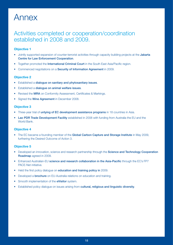## Annex

### Activities completed or cooperation/coordination established in 2008 and 2009.

### Objective 1

- Jointly supported expansion of counter-terrorist activities through capacity building projects at the Jakarta Centre for Law Enforcement Cooperation.
- Together promoted the International Criminal Court in the South East Asia/Pacific region.
- Commenced negotiations on a **Security of Information Agreement** in 2009.

### Objective 2

- Established a dialogue on sanitary and phytosanitary issues.
- Established a dialogue on animal welfare issues.
- Revised the MRA on Conformity Assessment, Certificates & Markings.
- Signed the **Wine Agreement** in December 2008.

### Objective 3

- Three-year trial of *untying of EC development assistance programs* in 18 countries in Asia.
- **Lao PDR Trade Development Facility** established in 2008 with funding from Australia the EU and the World Bank.

### Objective 4

The EC became a founding member of the Global Carbon Capture and Storage Institute in May 2009, furthering the Desired Outcome of Action 3.

### Objective 5

- Developed an innovation, science and research partnership through the Science and Technology Cooperation Roadmap agreed in 2009.
- Enhanced Australian-EU science and research collaboration in the Asia-Pacific through the EC's FP7 PACE-Net initiative.
- Held the first policy dialogue on **education and training policy in** 2009.
- Developed a **brochure** on EU-Australia relations on education and training.
- Smooth implementation of the eVisitor system.
- Established policy dialogue on issues arising from cultural, religious and linguistic diversity.